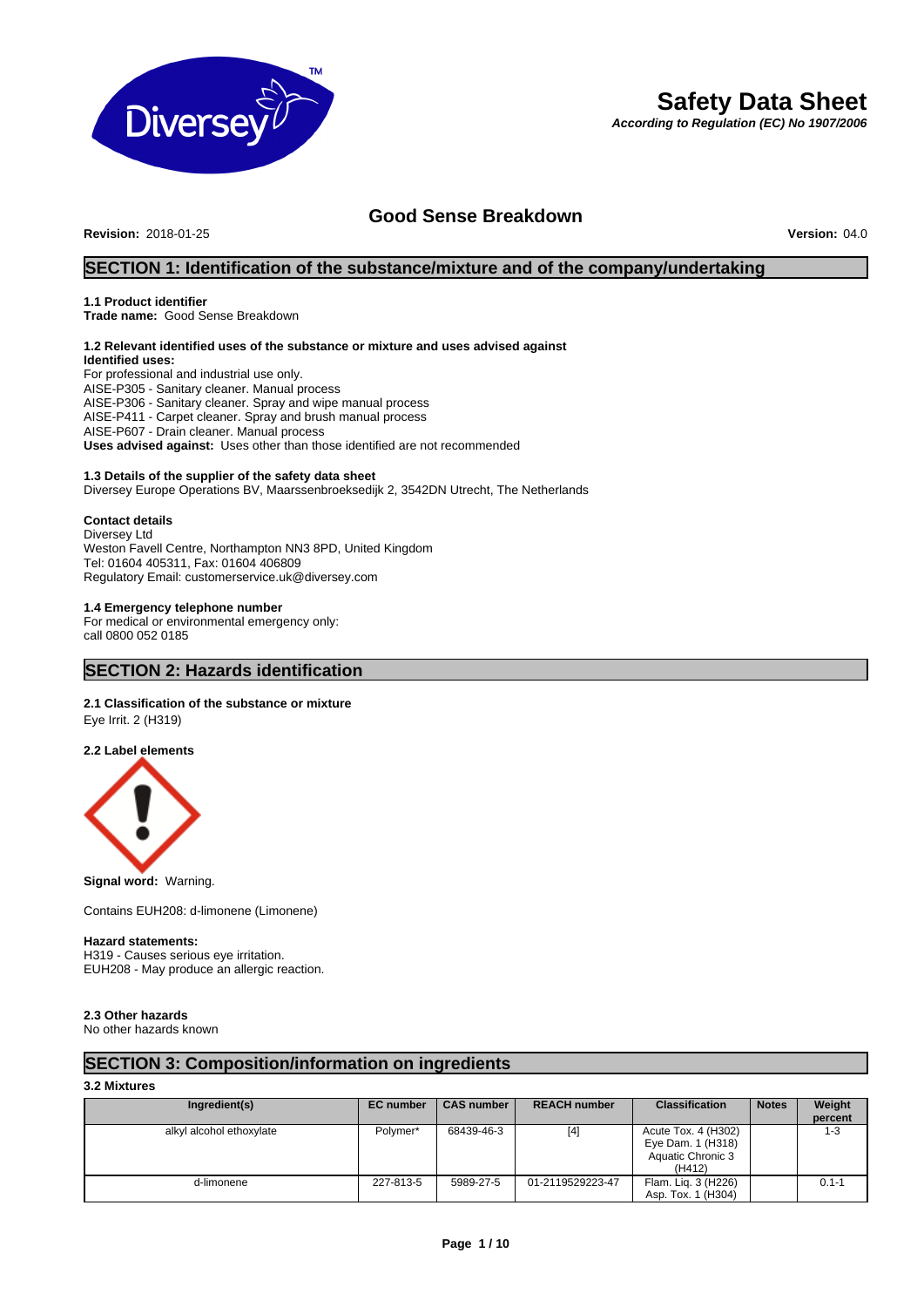

# **Safety Data Sheet**

*According to Regulation (EC) No 1907/2006*

# **Good Sense Breakdown**<br>Version: 04.0

**Revision: 2018-01-25** 

# **SECTION 1: Identification of the substance/mixture and of the company/undertaking**

### **1.1 Product identifier**

**Trade name:** Good Sense Breakdown

### **1.2 Relevant identified uses of the substance or mixture and uses advised against Identified uses:**

For professional and industrial use only. AISE-P305 - Sanitary cleaner. Manual process AISE-P306 - Sanitary cleaner. Spray and wipe manual process AISE-P411 - Carpet cleaner. Spray and brush manual process AISE-P607 - Drain cleaner. Manual process **Uses advised against:** Uses other than those identified are not recommended

#### **1.3 Details of the supplier of the safety data sheet**

Diversey Europe Operations BV, Maarssenbroeksedijk 2, 3542DN Utrecht, The Netherlands

#### **Contact details**

Diversey Ltd Weston Favell Centre, Northampton NN3 8PD, United Kingdom Tel: 01604 405311, Fax: 01604 406809 Regulatory Email: customerservice.uk@diversey.com

#### **1.4 Emergency telephone number**

For medical or environmental emergency only: call 0800 052 0185

# **SECTION 2: Hazards identification**

# **2.1 Classification of the substance or mixture**

Eye Irrit. 2 (H319)

#### **2.2 Label elements**



**Signal word:** Warning.

Contains EUH208: d-limonene (Limonene)

#### **Hazard statements:**

H319 - Causes serious eye irritation. EUH208 - May produce an allergic reaction.

# **2.3 Other hazards**

No other hazards known

# **SECTION 3: Composition/information on ingredients**

#### **3.2 Mixtures**

| Ingredient(s)            | <b>EC</b> number | <b>CAS number</b> | <b>REACH number</b> | <b>Classification</b>                                                   | <b>Notes</b> | Weight<br>percent |
|--------------------------|------------------|-------------------|---------------------|-------------------------------------------------------------------------|--------------|-------------------|
| alkyl alcohol ethoxylate | Polymer*         | 68439-46-3        | [4]                 | Acute Tox. 4 (H302)<br>Eye Dam. 1 (H318)<br>Aquatic Chronic 3<br>(H412) |              | 1-3               |
| d-limonene               | 227-813-5        | 5989-27-5         | 01-2119529223-47    | Flam. Lig. 3 (H226)<br>Asp. Tox. 1 (H304)                               |              | $0.1 - 1$         |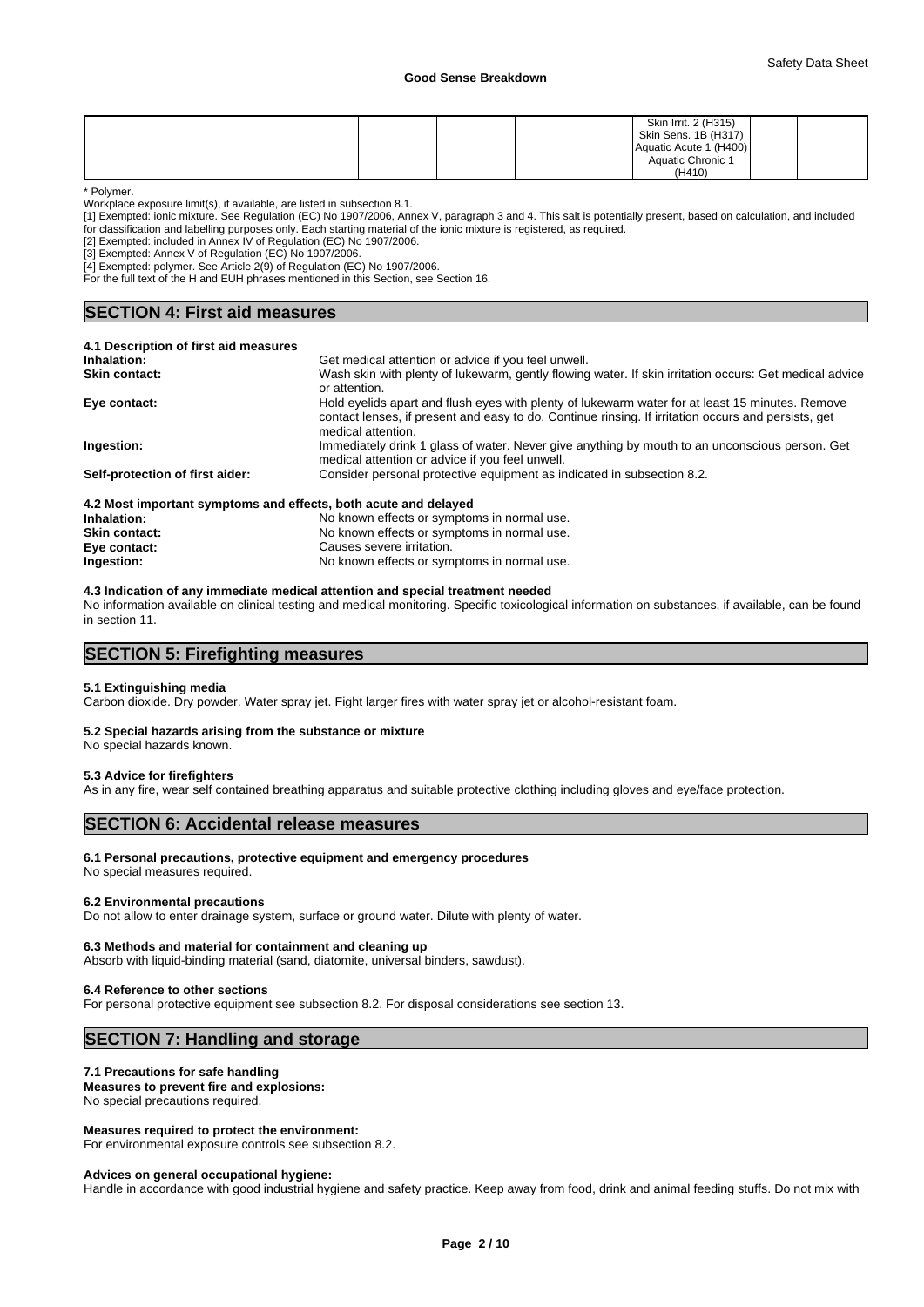|  |  | Skin Irrit. 2 (H315)<br>Skin Sens. 1B (H317)<br>Aquatic Acute 1 (H400)<br>Aquatic Chronic 1 |  |
|--|--|---------------------------------------------------------------------------------------------|--|
|  |  | (H410)                                                                                      |  |

\* Polymer.

Workplace exposure limit(s), if available, are listed in subsection 8.1.

[1] Exempted: ionic mixture. See Regulation (EC) No 1907/2006, Annex V, paragraph 3 and 4. This salt is potentially present, based on calculation, and included

for classification and labelling purposes only. Each starting material of the ionic mixture is registered, as required.

[2] Exempted: included in Annex IV of Regulation (EC) No 1907/2006. [3] Exempted: Annex V of Regulation (EC) No 1907/2006.

[4] Exempted: polymer. See Article 2(9) of Regulation (EC) No 1907/2006.

For the full text of the H and EUH phrases mentioned in this Section, see Section 16.

# **SECTION 4: First aid measures**

| 4.1 Description of first aid measures                           |                                                                                                                                                                                                                              |
|-----------------------------------------------------------------|------------------------------------------------------------------------------------------------------------------------------------------------------------------------------------------------------------------------------|
| Inhalation:                                                     | Get medical attention or advice if you feel unwell.                                                                                                                                                                          |
| Skin contact:                                                   | Wash skin with plenty of lukewarm, gently flowing water. If skin irritation occurs: Get medical advice<br>or attention.                                                                                                      |
| Eve contact:                                                    | Hold eyelids apart and flush eyes with plenty of lukewarm water for at least 15 minutes. Remove<br>contact lenses, if present and easy to do. Continue rinsing. If irritation occurs and persists, get<br>medical attention. |
| Ingestion:                                                      | Immediately drink 1 glass of water. Never give anything by mouth to an unconscious person. Get<br>medical attention or advice if you feel unwell.                                                                            |
| Self-protection of first aider:                                 | Consider personal protective equipment as indicated in subsection 8.2.                                                                                                                                                       |
| 4.2 Most important symptoms and effects, both acute and delayed |                                                                                                                                                                                                                              |
| Inhalation:                                                     | No known effects or symptoms in normal use.                                                                                                                                                                                  |
| <b>Skin contact:</b>                                            | No known effects or symptoms in normal use.                                                                                                                                                                                  |

#### **Eye contact:** Causes severe irritation. **Ingestion:** No known effects or symptoms in normal use.

**4.3 Indication of any immediate medical attention and special treatment needed**

No information available on clinical testing and medical monitoring. Specific toxicological information on substances, if available, can be found in section 11.

# **SECTION 5: Firefighting measures**

#### **5.1 Extinguishing media**

Carbon dioxide. Dry powder. Water spray jet. Fight larger fires with water spray jet or alcohol-resistant foam.

#### **5.2 Special hazards arising from the substance or mixture**

No special hazards known.

#### **5.3 Advice for firefighters**

As in any fire, wear self contained breathing apparatus and suitable protective clothing including gloves and eye/face protection.

# **SECTION 6: Accidental release measures**

#### **6.1 Personal precautions, protective equipment and emergency procedures**

No special measures required.

#### **6.2 Environmental precautions**

Do not allow to enter drainage system, surface or ground water. Dilute with plenty of water.

#### **6.3 Methods and material for containment and cleaning up**

Absorb with liquid-binding material (sand, diatomite, universal binders, sawdust).

#### **6.4 Reference to other sections**

For personal protective equipment see subsection 8.2. For disposal considerations see section 13.

# **SECTION 7: Handling and storage**

#### **7.1 Precautions for safe handling**

**Measures to prevent fire and explosions:** No special precautions required.

#### **Measures required to protect the environment:**

For environmental exposure controls see subsection 8.2.

#### **Advices on general occupational hygiene:**

Handle in accordance with good industrial hygiene and safety practice. Keep away from food, drink and animal feeding stuffs. Do not mix with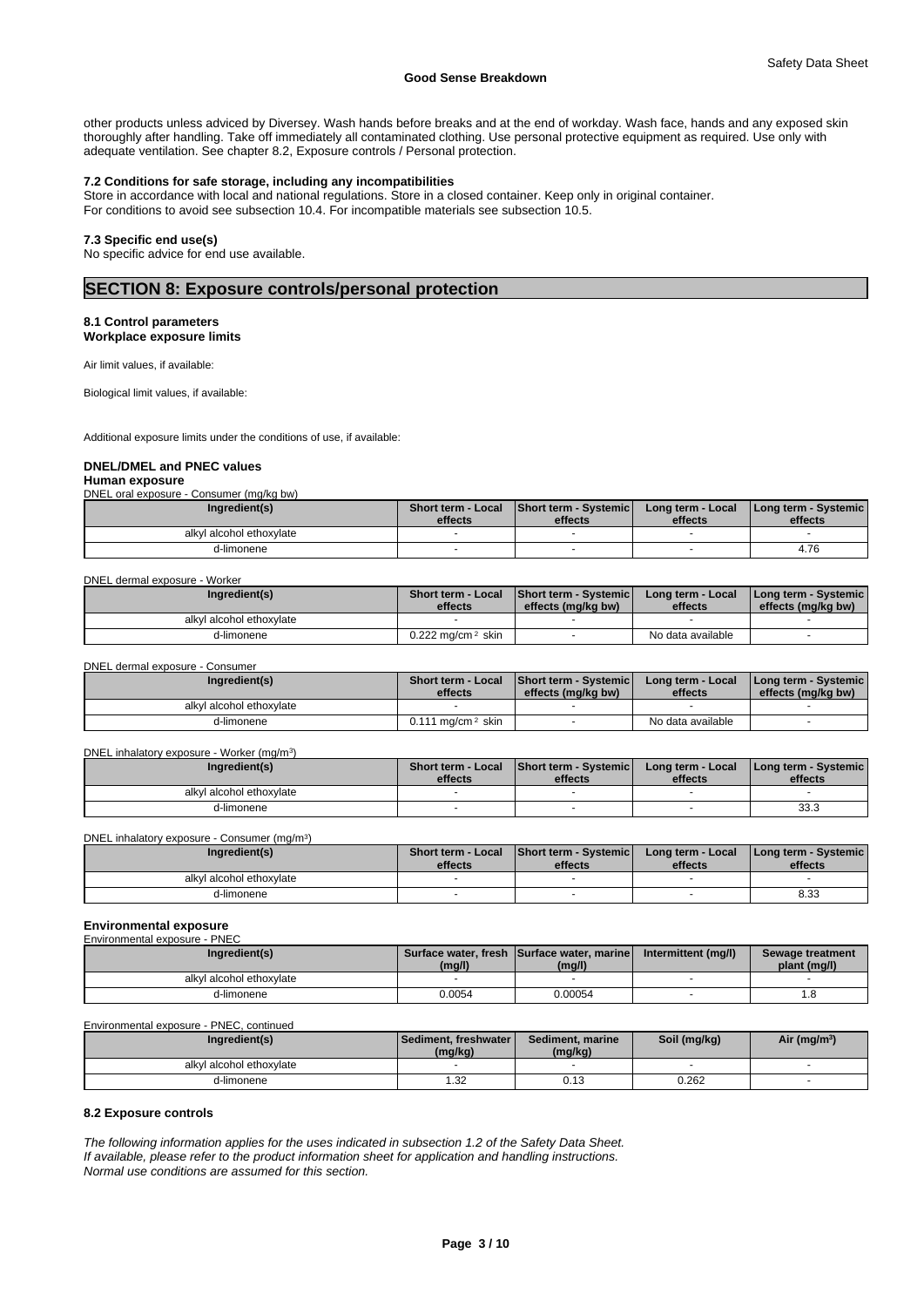other products unless adviced by Diversey. Wash hands before breaks and at the end of workday. Wash face, hands and any exposed skin thoroughly after handling. Take off immediately all contaminated clothing. Use personal protective equipment as required. Use only with adequate ventilation. See chapter 8.2, Exposure controls / Personal protection.

#### **7.2 Conditions for safe storage, including any incompatibilities**

Store in accordance with local and national regulations. Store in a closed container. Keep only in original container. For conditions to avoid see subsection 10.4. For incompatible materials see subsection 10.5.

#### **7.3 Specific end use(s)**

No specific advice for end use available.

# **SECTION 8: Exposure controls/personal protection**

#### **8.1 Control parameters Workplace exposure limits**

Air limit values, if available:

Biological limit values, if available:

Additional exposure limits under the conditions of use, if available:

# **DNEL/DMEL and PNEC values**

**Human exposure** DNEL oral exposure - Consumer (mg/kg bw)

| Ingredient(s)            | <b>Short term - Local</b><br>effects | <b>Short term - Systemic</b><br>effects | Long term - Local<br>effects | I Long term - Systemic I<br>effects |
|--------------------------|--------------------------------------|-----------------------------------------|------------------------------|-------------------------------------|
| alkyl alcohol ethoxylate |                                      |                                         |                              |                                     |
| d-limonene               |                                      |                                         |                              | 4.76                                |

#### DNEL dermal exposure - Worker

| Ingredient(s)            | Short term - Local<br>effects   | <b>Short term - Systemicl</b><br>effects (mg/kg bw) | Long term - Local<br>effects | <b>I Long term - Systemic I</b><br>effects (mg/kg bw) |  |
|--------------------------|---------------------------------|-----------------------------------------------------|------------------------------|-------------------------------------------------------|--|
| alkyl alcohol ethoxylate |                                 |                                                     |                              |                                                       |  |
| d-limonene               | $0.222$ ma/cm <sup>2</sup> skin |                                                     | No data available            |                                                       |  |

DNEL dermal exposure - Consumer

| Ingredient(s)            | <b>Short term - Local</b><br>effects | <b>Short term - Systemicl</b><br>effects (mg/kg bw) | Long term - Local<br>effects | I Long term - Systemic I<br>effects (mg/kg bw) |
|--------------------------|--------------------------------------|-----------------------------------------------------|------------------------------|------------------------------------------------|
| alkyl alcohol ethoxylate |                                      |                                                     |                              |                                                |
| d-limonene               | ma/cm <sup>2</sup> skin<br>0.111     |                                                     | No data available            |                                                |

#### DNEL inhalatory exposure - Worker (mg/m<sup>3</sup>) )

| Ingredient(s)            | <b>Short term - Local</b><br>effects | <b>Short term - Systemic</b><br>effects | Long term - Local<br>effects | <b>I Long term - Systemic I</b><br>effects |
|--------------------------|--------------------------------------|-----------------------------------------|------------------------------|--------------------------------------------|
| alkyl alcohol ethoxylate |                                      |                                         |                              |                                            |
| d-limonene               |                                      |                                         |                              | 33.3                                       |

DNEL inhalatory exposure - Consumer (mg/m<sup>3</sup>)  $)$ 

| Ingredient(s)            | Short term - Local<br>effects | <b>Short term - Systemic</b><br>effects | Long term - Local<br>effects | I Long term - Systemic<br>effects |  |
|--------------------------|-------------------------------|-----------------------------------------|------------------------------|-----------------------------------|--|
| alkyl alcohol ethoxylate |                               |                                         |                              |                                   |  |
| d-limonene               |                               |                                         |                              | 8.33                              |  |

#### **Environmental exposure** enmental exp

| Ingredient(s)            | (mg/l) | Surface water, fresh Surface water, marine<br>(mq/l) | Intermittent (mg/l) | Sewage treatment<br>plant (mg/l) |
|--------------------------|--------|------------------------------------------------------|---------------------|----------------------------------|
| alkyl alcohol ethoxylate |        |                                                      |                     |                                  |
| d-limonene               | 0.0054 | 0.00054                                              |                     | ن.                               |

Environmental exposure - PNEC, continued

| Ingredient(s)            | l Sediment. freshwater l<br>(mg/kg) | Sediment, marine<br>(mg/kg) | Soil (mg/kg) | Air (mg/m <sup>3</sup> ) |
|--------------------------|-------------------------------------|-----------------------------|--------------|--------------------------|
| alkyl alcohol ethoxylate |                                     |                             |              |                          |
| d-limonene               | 1.32                                | $\overline{A}$<br>0.13      | 0.262        |                          |

#### **8.2 Exposure controls**

*The following information applies for the uses indicated in subsection 1.2 of the Safety Data Sheet. If available, please refer to the product information sheet for application and handling instructions. Normal use conditions are assumed for this section.*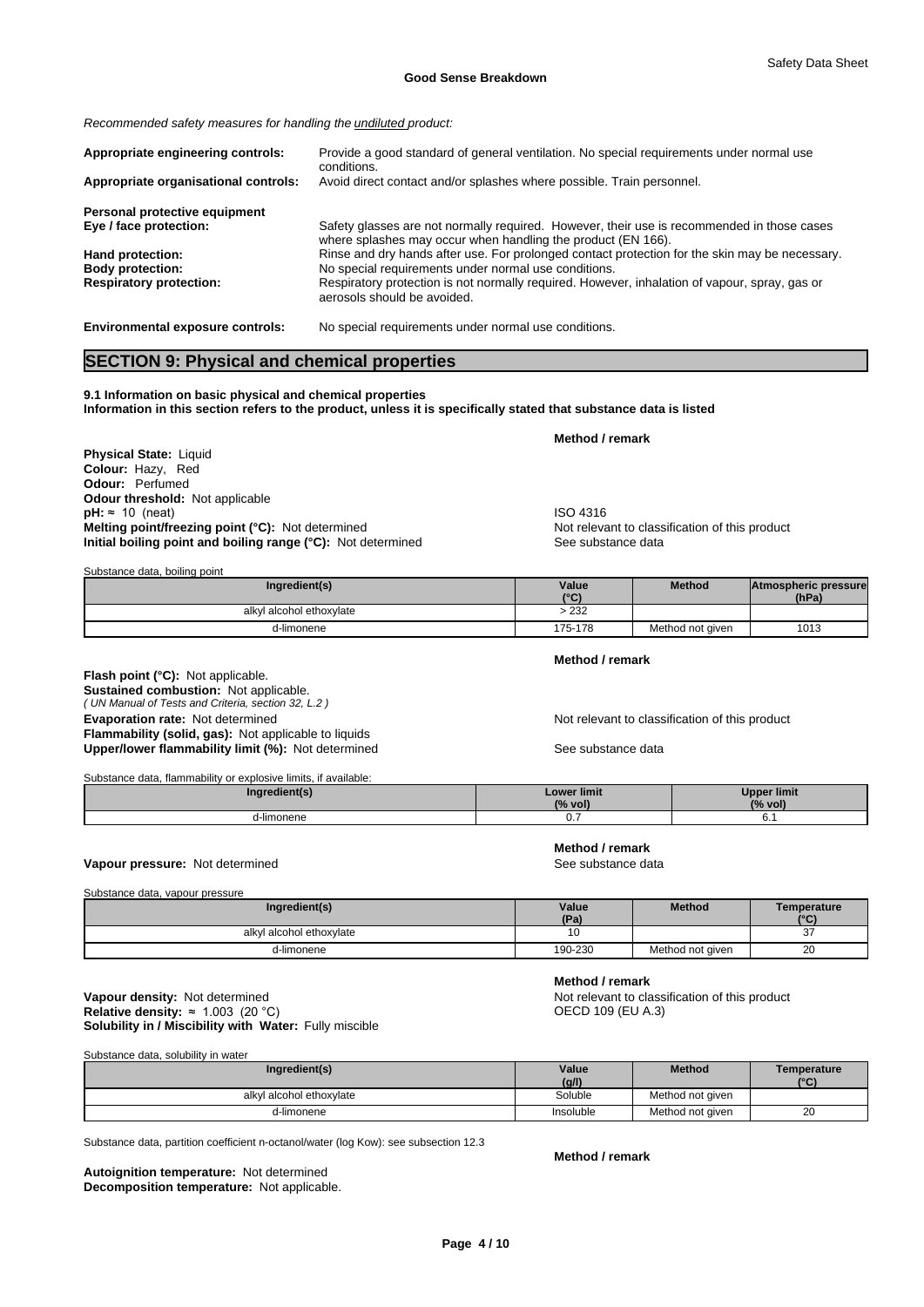*Recommended safety measures for handling the undiluted product:*

| Appropriate engineering controls:    | Provide a good standard of general ventilation. No special requirements under normal use<br>conditions.                                                    |
|--------------------------------------|------------------------------------------------------------------------------------------------------------------------------------------------------------|
| Appropriate organisational controls: | Avoid direct contact and/or splashes where possible. Train personnel.                                                                                      |
| Personal protective equipment        |                                                                                                                                                            |
| Eye / face protection:               | Safety glasses are not normally required. However, their use is recommended in those cases<br>where splashes may occur when handling the product (EN 166). |
| Hand protection:                     | Rinse and dry hands after use. For prolonged contact protection for the skin may be necessary.                                                             |
| <b>Body protection:</b>              | No special requirements under normal use conditions.                                                                                                       |
| <b>Respiratory protection:</b>       | Respiratory protection is not normally required. However, inhalation of vapour, spray, gas or<br>aerosols should be avoided.                               |

**Environmental exposure controls:** No special requirements under normal use conditions.

# **SECTION 9: Physical and chemical properties**

**9.1 Information on basic physical and chemical properties Information in this section refers to the product, unless it is specifically stated that substance data is listed**

**Physical State:** Liquid **Colour:** Hazy, Red **Odour:** Perfumed **Odour threshold:** Not applicable **pH:** ≈ 10 (neat)<br> **Melting point/freezing point (°C):** Not determined<br> **Melting point/freezing point (°C):** Not determined<br> **Melting point/freezing point (°C):** Not determined **Melting point/freezing point (°C):** Not determined Not relevant to class<br> **Point in the line of this product in the product of the See substance data Initial boiling point and boiling range (°C):** Not determined

**Method / remark**

| Substance data, boiling point |  |  |
|-------------------------------|--|--|
|-------------------------------|--|--|

| Ingredient(s)            | Value   | <b>Method</b>    | Atmospheric pressure |  |
|--------------------------|---------|------------------|----------------------|--|
|                          | 10(1)   |                  | (hPa)                |  |
| alkyl alcohol ethoxylate | $-232$  |                  |                      |  |
| d-limonene               | 175-178 | Method not given | 1013                 |  |

*( UN Manual of Tests and Criteria, section 32, L.2 )* **Flash point (°C):** Not applicable. **Sustained combustion:** Not applicable. **Evaporation rate:** Not determined **Not relevant to classification of this product** Not relevant to classification of this product **Flammability (solid, gas):** Not applicable to liquids Upper/lower flammability limit (%): Not determined See substance data

Substance data, flammability or explosive limits, if available:

**Method / remark**

**Method / remark**

**Method / remark**

| redient(s | Lower limit<br>$\frac{10}{4}$ VOIJ<br>70 | <b>Ipper limit</b><br>$(%$ vol' |
|-----------|------------------------------------------|---------------------------------|
| -limonene | v.                                       | v.                              |

#### **Vapour pressure:** Not determined **See substance data** See substance data

Substance data, vapour pressure

| Ingredient(s)                | Value<br>(D <sub>2</sub> ) | <b>Method</b>    | Temperature<br>$\sim$ |
|------------------------------|----------------------------|------------------|-----------------------|
| l alcohol ethoxylate<br>alky | 10                         |                  | $\sim$<br>οı          |
| d-limonene                   | 190-230                    | Method not given | 20                    |

#### **Solubility in / Miscibility with Water:** Fully miscible **Vapour density:** Not determined **Not relevant to classification of this product Relative density:** ≈ 1.003 (20 °C) **Not relevant to classification of this product Relative density:** ≈ 1.003 (20 °C) **Relative density:**  $≈ 1.003 (20 °C)$

Substance data, solubility in water

| Ingredient(s)            | Value     | <b>Method</b>    | Temperature   |
|--------------------------|-----------|------------------|---------------|
|                          | (g/l)     |                  | $(^{\circ}C)$ |
| alkyl alcohol ethoxylate | Soluble   | Method not given |               |
| d-limonene               | Insoluble | Method not given | 20            |

Substance data, partition coefficient n-octanol/water (log Kow): see subsection 12.3

**Decomposition temperature:** Not applicable. **Autoignition temperature:** Not determined

**Method / remark**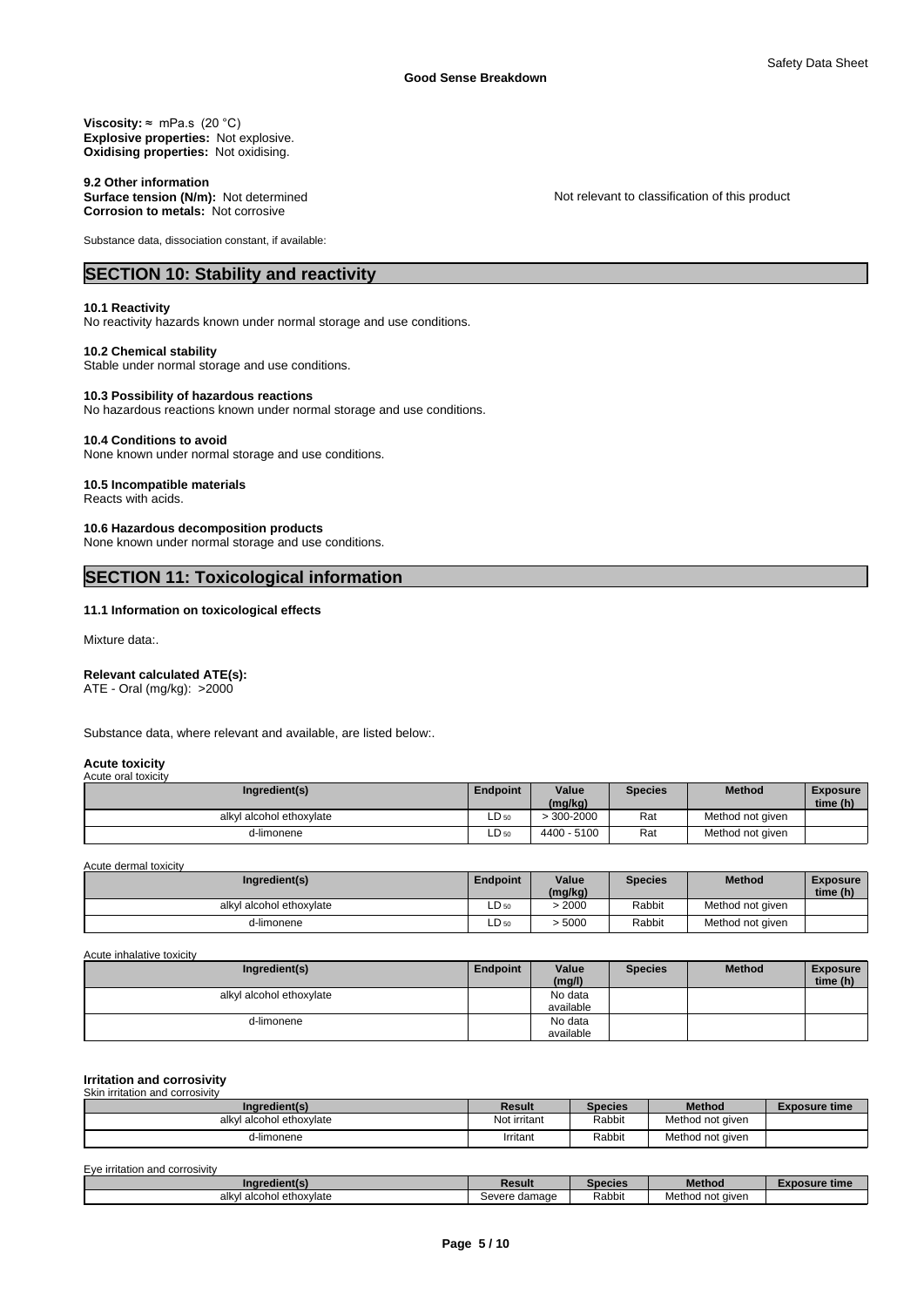**Viscosity:** ≈ mPa.s (20 °C) **Explosive properties:** Not explosive. **Oxidising properties:** Not oxidising.

9.2 Other information<br>Surface tension (N/m): Not determined **Corrosion to metals:** Not corrosive

Substance data, dissociation constant, if available:

# **SECTION 10: Stability and reactivity**

#### **10.1 Reactivity**

No reactivity hazards known under normal storage and use conditions.

#### **10.2 Chemical stability**

Stable under normal storage and use conditions.

#### **10.3 Possibility of hazardous reactions**

No hazardous reactions known under normal storage and use conditions.

#### **10.4 Conditions to avoid**

None known under normal storage and use conditions.

# **10.5 Incompatible materials**

Reacts with acids.

#### **10.6 Hazardous decomposition products**

None known under normal storage and use conditions.

# **SECTION 11: Toxicological information**

### **11.1 Information on toxicological effects**

Mixture data:.

#### **Relevant calculated ATE(s):**

ATE - Oral (mg/kg): >2000

Substance data, where relevant and available, are listed below:.

#### **Acute toxicity** Acute oral toxicity

| Ingredient(s)            | <b>Endpoint</b> | Value<br>(mg/kg) | Species | <b>Method</b>    | <b>Exposure</b><br>time (h) |
|--------------------------|-----------------|------------------|---------|------------------|-----------------------------|
| alkyl alcohol ethoxylate | $LD_{50}$       | $.300 - 2000$    | Rat     | Method not aiven |                             |
| d-limonene               | LD 50           | $-5100$<br>4400  | Rat     | Method not given |                             |

Acute dermal toxicity

| Ingredient(s)            | <b>Endpoint</b> | Value   | Species | <b>Method</b>    | <b>Exposure</b> |
|--------------------------|-----------------|---------|---------|------------------|-----------------|
|                          |                 | (mg/kg) |         |                  | time (h)        |
| alkyl alcohol ethoxylate | $LD_{50}$       | 2000    | Rabbit  | Method not aiven |                 |
| d-limonene               | $LD_{50}$       | 5000    | Rabbit  | Method not given |                 |

#### Acute inhalative toxicity

| Ingredient(s)            | <b>Endpoint</b> | Value<br>(mg/l)      | <b>Species</b> | <b>Method</b> | <b>Exposure</b><br>time (h) |  |
|--------------------------|-----------------|----------------------|----------------|---------------|-----------------------------|--|
| alkyl alcohol ethoxylate |                 | No data<br>available |                |               |                             |  |
| d-limonene               |                 | No data<br>available |                |               |                             |  |

#### **Irritation and corrosivity**

| Skin irritation and corrosivity |              |                |                  |                      |
|---------------------------------|--------------|----------------|------------------|----------------------|
| Ingredient(s)                   | Result       | <b>Species</b> | <b>Method</b>    | <b>Exposure time</b> |
| alkyl alcohol ethoxylate        | Not irritant | Rabbit         | Method not given |                      |
| d-limonene                      | Irritant     | Rabbit         | Method not given |                      |

| Eye irritation and corrosivity |  |
|--------------------------------|--|
|                                |  |

| Inar<br>dient(s                    | Result                       | ecies  | the property of the property of<br>Method | e time. |
|------------------------------------|------------------------------|--------|-------------------------------------------|---------|
| ethoxvlate<br>∴alcohoi e…<br>alkvl | damage<br>Sever <sup>-</sup> | Rabbit | aiven<br>"vietn"<br>                      |         |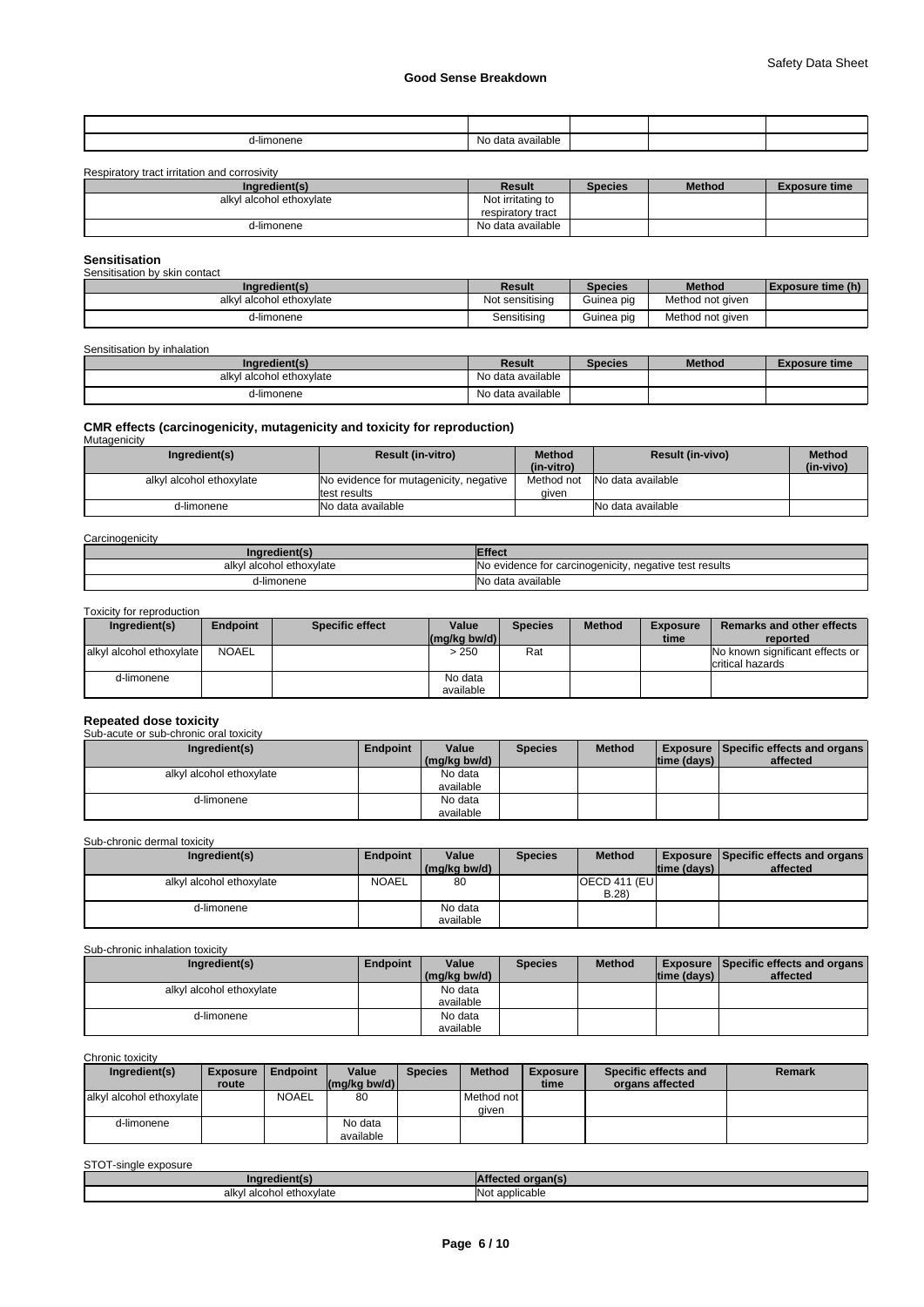| .<br>d-limonene | available i<br>No data |  |  |
|-----------------|------------------------|--|--|

Respiratory tract irritation and corrosivity

| Ingredient(s)            | Result            | <b>Species</b> | <b>Method</b> | <b>Exposure time</b> |
|--------------------------|-------------------|----------------|---------------|----------------------|
| alkyl alcohol ethoxylate | Not irritating to |                |               |                      |
|                          | respiratory tract |                |               |                      |
| d-limonene               | No data available |                |               |                      |

#### **Sensitisation** Sensitisation by skin contact

| <b>PONDICATION DV ONLI DONADI</b><br>Ingredient(s) | Result          | Species    | <b>Method</b>    | Exposure time (h) |
|----------------------------------------------------|-----------------|------------|------------------|-------------------|
| alkyl alcohol ethoxylate                           | Not sensitising | Guinea pig | Method not given |                   |
| d-limonene                                         | Sensitisina     | Guinea pig | Method not given |                   |

# Sensitisation by inhalation

| Ingredient(s)            | Result            | <b>Species</b> | <b>Method</b> | Exposure time |
|--------------------------|-------------------|----------------|---------------|---------------|
| alkyl alcohol ethoxylate | No data available |                |               |               |
| d-limonene               | No data available |                |               |               |

# **CMR effects (carcinogenicity, mutagenicity and toxicity for reproduction)** Mutagenicity

| <del>.</del>             |                                        |               |                         |               |
|--------------------------|----------------------------------------|---------------|-------------------------|---------------|
| Ingredient(s)            | <b>Result (in-vitro)</b>               | <b>Method</b> | <b>Result (in-vivo)</b> | <b>Method</b> |
|                          |                                        | (in-vitro)    |                         | (in-vivo)     |
| alkyl alcohol ethoxylate | No evidence for mutagenicity, negative | Method not    | No data available       |               |
|                          | test results                           | aiven         |                         |               |
| d-limonene               | No data available                      |               | No data available       |               |

#### **Carcinogenicity**

| Inaredient(s)            | <b>Effect</b>                                               |
|--------------------------|-------------------------------------------------------------|
| alkyl alcohol ethoxylate | . negative test results<br>No evidence for carcinogenicity, |
| d-limonene               | No data available                                           |

#### Toxicity for reproduction

| Ingredient(s)            | <b>Endpoint</b> | <b>Specific effect</b> | Value                                            | Species | <b>Method</b> | <b>Exposure</b> | <b>Remarks and other effects</b>                    |
|--------------------------|-----------------|------------------------|--------------------------------------------------|---------|---------------|-----------------|-----------------------------------------------------|
|                          |                 |                        | $\left \frac{\text{mg}}{\text{kg}}\right $ bw/d) |         |               | time            | reported                                            |
| alkyl alcohol ethoxylate | NOAEL           |                        | >250                                             | Rat     |               |                 | No known significant effects or<br>critical hazards |
| d-limonene               |                 |                        | No data<br>available                             |         |               |                 |                                                     |

# **Repeated dose toxicity** Sub-acute or sub-chronic oral toxicity

| Ingredient(s)            | <b>Endpoint</b> | Value        | <b>Species</b> | <b>Method</b> |             | <b>Exposure Specific effects and organs</b> |
|--------------------------|-----------------|--------------|----------------|---------------|-------------|---------------------------------------------|
|                          |                 | (mg/kg bw/d) |                |               | time (days) | affected                                    |
| alkyl alcohol ethoxylate |                 | No data      |                |               |             |                                             |
|                          |                 | available    |                |               |             |                                             |
| d-limonene               |                 | No data      |                |               |             |                                             |
|                          |                 | available    |                |               |             |                                             |

## Sub-chronic dermal toxicity

| Ingredient(s)            | <b>Endpoint</b> | Value        | <b>Species</b> | <b>Method</b>         |             | <b>Exposure Specific effects and organs</b> |
|--------------------------|-----------------|--------------|----------------|-----------------------|-------------|---------------------------------------------|
|                          |                 | (mg/kg bw/d) |                |                       | time (days) | affected                                    |
| alkyl alcohol ethoxylate | <b>NOAEL</b>    | 80           |                | <b>OECD 411 (EUI)</b> |             |                                             |
|                          |                 |              |                | B.28)                 |             |                                             |
| d-limonene               |                 | No data      |                |                       |             |                                             |
|                          |                 | available    |                |                       |             |                                             |

Sub-chronic inhalation toxicity

| Ingredient(s)            | <b>Endpoint</b> | Value        | <b>Species</b> | <b>Method</b> |             | <b>Exposure Specific effects and organs</b> |
|--------------------------|-----------------|--------------|----------------|---------------|-------------|---------------------------------------------|
|                          |                 | (mg/kg bw/d) |                |               | time (davs) | affected                                    |
| alkyl alcohol ethoxylate |                 | No data      |                |               |             |                                             |
|                          |                 | available    |                |               |             |                                             |
| d-limonene               |                 | No data      |                |               |             |                                             |
|                          |                 | available    |                |               |             |                                             |

Chronic toxicity

| Ingredient(s)            | <b>Exposure</b> | Endpoint     | Value        | <b>Species</b> | <b>Method</b> | <b>Exposure</b> | Specific effects and | <b>Remark</b> |
|--------------------------|-----------------|--------------|--------------|----------------|---------------|-----------------|----------------------|---------------|
|                          | route           |              | (ma/ka bw/d) |                |               | time            | organs affected      |               |
| alkyl alcohol ethoxylate |                 | <b>NOAEL</b> | 80           |                | Method not I  |                 |                      |               |
|                          |                 |              |              |                | aiven         |                 |                      |               |
| d-limonene               |                 |              | No data      |                |               |                 |                      |               |
|                          |                 |              | available    |                |               |                 |                      |               |

STOT-single exposure

| .redient/<br>Inai                       |                   |
|-----------------------------------------|-------------------|
| I alcohol ethoxvlate<br>alkv!<br>.<br>. | t applicable<br>. |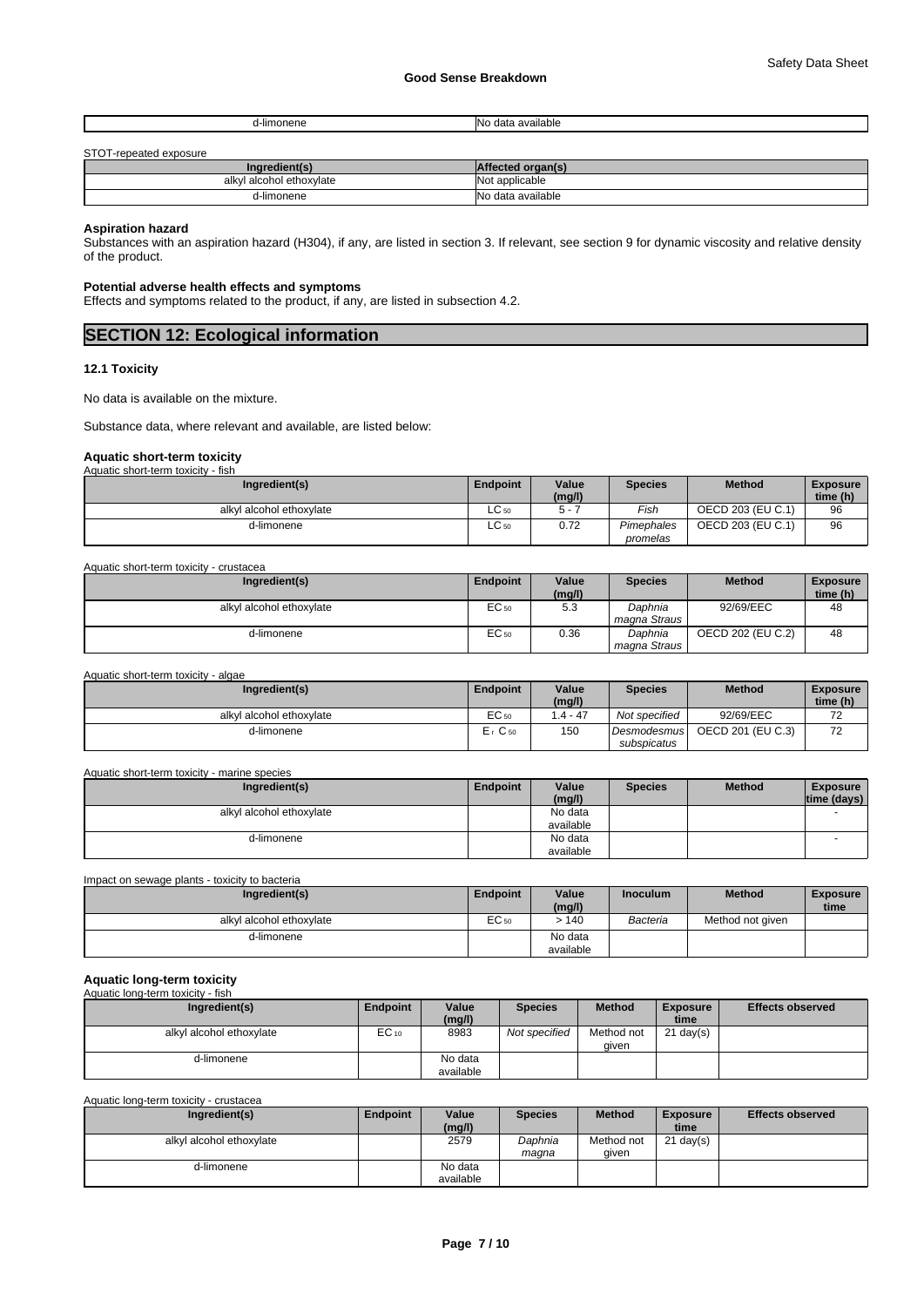| d-limonene | าvailable<br>$\sim$<br>a<br>uata |
|------------|----------------------------------|
|            |                                  |

#### STOT-repeated exposure

| <u>UTOT TUPUAIUA UAPOJATU</u> |                       |  |  |  |  |  |
|-------------------------------|-----------------------|--|--|--|--|--|
| Ingredient(s)                 | d organ(s)<br>'tected |  |  |  |  |  |
| alkvl<br>I alcohol ethoxvlate | Not applicable        |  |  |  |  |  |
| d-limonene                    | INo data available    |  |  |  |  |  |

# **Aspiration hazard**

Substances with an aspiration hazard (H304), if any, are listed in section 3. If relevant, see section 9 for dynamic viscosity and relative density of the product.

### **Potential adverse health effects and symptoms**

Effects and symptoms related to the product, if any, are listed in subsection 4.2.

# **SECTION 12: Ecological information**

#### **12.1 Toxicity**

No data is available on the mixture.

Substance data, where relevant and available, are listed below:

# **Aquatic short-term toxicity** Aquatic short-term toxicity - fish

| Ingredient(s)            | <b>Endpoint</b> | Value<br>(mg/l) | <b>Species</b> | <b>Method</b>     | <b>Exposure</b><br>time (h) |
|--------------------------|-----------------|-----------------|----------------|-------------------|-----------------------------|
| alkyl alcohol ethoxylate | $\sim$<br>LC 50 |                 | Fish           | OECD 203 (EU C.1) | 96                          |
| d-limonene               | $\sim$<br>LC 50 | 0.72            | Pimephales     | OECD 203 (EU C.1) | 96                          |
|                          |                 |                 | promelas       |                   |                             |

Aquatic short-term toxicity - crustacea

| Ingredient(s)            | Endpoint         | Value<br>(mg/l) | <b>Species</b>          | <b>Method</b>     | <b>Exposure</b><br>time (h) |
|--------------------------|------------------|-----------------|-------------------------|-------------------|-----------------------------|
| alkyl alcohol ethoxylate | EC 50            | гΩ<br>ن. ب      | Daphnia<br>magna Straus | 92/69/EEC         | 48                          |
| d-limonene               | EC <sub>50</sub> | 0.36            | Daphnia<br>magna Straus | OECD 202 (EU C.2) | 48                          |

Aquatic short-term toxicity - algae

| Ingredient(s)            | <b>Endpoint</b> | Value<br>(mg/l) | <b>Species</b> | <b>Method</b>     | <b>Exposure</b><br>time (h)          |
|--------------------------|-----------------|-----------------|----------------|-------------------|--------------------------------------|
| alkyl alcohol ethoxylate | EC 50           | $.4 - 47$       | Not specified  | 92/69/EEC         | $\overline{\phantom{a}}$<br><u>_</u> |
| d-limonene               | $Er$ C 50       | 150             | Desmodesmus    | OECD 201 (EU C.3) | $\overline{\phantom{a}}$<br>∼        |
|                          |                 |                 | subspicatus    |                   |                                      |

#### Aquatic short-term toxicity - marine species

| Ingredient(s)            | <b>Endpoint</b> | Value     | <b>Species</b> | <b>Method</b> | <b>Exposure</b> |  |
|--------------------------|-----------------|-----------|----------------|---------------|-----------------|--|
|                          |                 | (mg/l)    |                |               | time (days)     |  |
| alkyl alcohol ethoxylate |                 | No data   |                |               |                 |  |
|                          |                 | available |                |               |                 |  |
| d-limonene               |                 | No data   |                |               |                 |  |
|                          |                 | available |                |               |                 |  |

| Impact on sewage plants - toxicity to bacteria |          |                      |                 |                  |                         |  |  |  |  |
|------------------------------------------------|----------|----------------------|-----------------|------------------|-------------------------|--|--|--|--|
| Ingredient(s)                                  | Endpoint | Value<br>(mg/l)      | <b>Inoculum</b> | <b>Method</b>    | <b>Exposure</b><br>time |  |  |  |  |
| alkyl alcohol ethoxylate                       | EC 50    | >140                 | Bacteria        | Method not given |                         |  |  |  |  |
| d-limonene                                     |          | No data<br>available |                 |                  |                         |  |  |  |  |

#### **Aquatic long-term toxicity** name res<br>atic long-t

| Ingredient(s)            | Endpoint | Value<br>(mg/l)      | <b>Species</b> | <b>Method</b>       | <b>Exposure</b><br>time | <b>Effects observed</b> |
|--------------------------|----------|----------------------|----------------|---------------------|-------------------------|-------------------------|
| alkyl alcohol ethoxylate | EC 10    | 8983                 | Not specified  | Method not<br>aiven | $21 \text{ day}(s)$     |                         |
| d-limonene               |          | No data<br>available |                |                     |                         |                         |

Aquatic long-term toxicity - crustacea

| Ingredient(s)            | Endpoint | Value<br>(mg/l)      | <b>Species</b>   | <b>Method</b>       | <b>Exposure</b><br>time | <b>Effects observed</b> |
|--------------------------|----------|----------------------|------------------|---------------------|-------------------------|-------------------------|
| alkyl alcohol ethoxylate |          | 2579                 | Daphnia<br>maana | Method not<br>aiven | $21$ day(s)             |                         |
| d-limonene               |          | No data<br>available |                  |                     |                         |                         |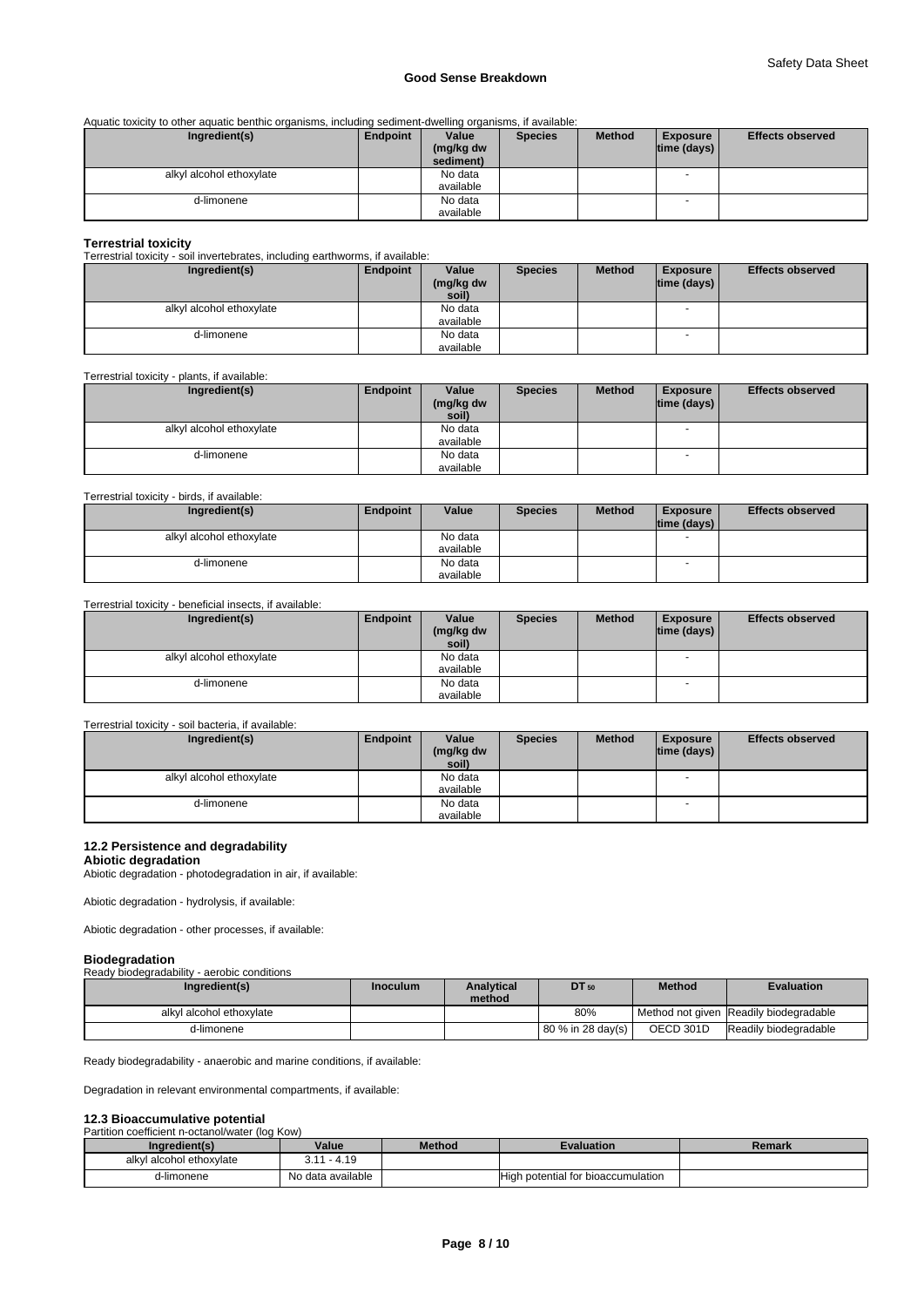Aquatic toxicity to other aquatic benthic organisms, including sediment-dwelling organisms, if available:

| Ingredient(s)            | Endpoint | Value     | <b>Species</b> | <b>Method</b> | <b>Exposure</b> | <b>Effects observed</b> |
|--------------------------|----------|-----------|----------------|---------------|-----------------|-------------------------|
|                          |          | (mg/kg dw |                |               | time (days)     |                         |
|                          |          | sediment) |                |               |                 |                         |
| alkyl alcohol ethoxylate |          | No data   |                |               |                 |                         |
|                          |          | available |                |               |                 |                         |
| d-limonene               |          | No data   |                |               |                 |                         |
|                          |          | available |                |               |                 |                         |

#### **Terrestrial toxicity**

Terrestrial toxicity - soil invertebrates, including earthworms, if available:

| Ingredient(s)            | Endpoint | Value     | <b>Species</b> | <b>Method</b> | <b>Exposure</b>    | <b>Effects observed</b> |
|--------------------------|----------|-----------|----------------|---------------|--------------------|-------------------------|
|                          |          | (mg/kg dw |                |               | $ time$ (days) $ $ |                         |
|                          |          | soil)     |                |               |                    |                         |
| alkyl alcohol ethoxylate |          | No data   |                |               |                    |                         |
|                          |          | available |                |               |                    |                         |
| d-limonene               |          | No data   |                |               |                    |                         |
|                          |          | available |                |               |                    |                         |

Terrestrial toxicity - plants, if available:

| Ingredient(s)            | Endpoint | Value              | <b>Species</b> | <b>Method</b> | <b>Exposure</b>          | <b>Effects observed</b> |
|--------------------------|----------|--------------------|----------------|---------------|--------------------------|-------------------------|
|                          |          | (mg/kg dw<br>soil) |                |               | $ time$ (days) $ $       |                         |
|                          |          |                    |                |               |                          |                         |
| alkyl alcohol ethoxylate |          | No data            |                |               |                          |                         |
|                          |          | available          |                |               |                          |                         |
| d-limonene               |          | No data            |                |               | $\overline{\phantom{a}}$ |                         |
|                          |          | available          |                |               |                          |                         |

#### Terrestrial toxicity - birds, if available:

| Ingredient(s)            | Endpoint | Value     | <b>Species</b> | <b>Method</b> | <b>Exposure</b>    | <b>Effects observed</b> |
|--------------------------|----------|-----------|----------------|---------------|--------------------|-------------------------|
|                          |          |           |                |               | $ time$ (days) $ $ |                         |
| alkyl alcohol ethoxylate |          | No data   |                |               |                    |                         |
|                          |          | available |                |               |                    |                         |
| d-limonene               |          | No data   |                |               | - -                |                         |
|                          |          | available |                |               |                    |                         |

# Terrestrial toxicity - beneficial insects, if available:

| Ingredient(s)            | Endpoint | Value<br>(mg/kg dw<br>soil) | <b>Species</b> | <b>Method</b> | <b>Exposure</b><br>$ time$ (days) $ $ | <b>Effects observed</b> |
|--------------------------|----------|-----------------------------|----------------|---------------|---------------------------------------|-------------------------|
| alkyl alcohol ethoxylate |          | No data<br>available        |                |               | $\overline{\phantom{a}}$              |                         |
| d-limonene               |          | No data<br>available        |                |               | $\overline{\phantom{a}}$              |                         |

# Terrestrial toxicity - soil bacteria, if available:

| Ingredient(s)            | Endpoint | Value              | <b>Species</b> | <b>Method</b> | <b>Exposure</b>          | <b>Effects observed</b> |
|--------------------------|----------|--------------------|----------------|---------------|--------------------------|-------------------------|
|                          |          | (mg/kg dw<br>soil) |                |               | $\lim_{\theta}$ (days)   |                         |
|                          |          |                    |                |               |                          |                         |
| alkyl alcohol ethoxylate |          | No data            |                |               | $\sim$                   |                         |
|                          |          | available          |                |               |                          |                         |
| d-limonene               |          | No data            |                |               | $\overline{\phantom{a}}$ |                         |
|                          |          | available          |                |               |                          |                         |

## **12.2 Persistence and degradability**

**Abiotic degradation**

Abiotic degradation - photodegradation in air, if available:

Abiotic degradation - hydrolysis, if available:

Abiotic degradation - other processes, if available:

| <b>Biodegradation</b>                       |  |
|---------------------------------------------|--|
| Ready biodegradability - aerobic conditions |  |

| Ingredient(s)            | <b>Inoculum</b> | <b>Analytical</b><br>method | <b>DT</b> 50               | <b>Method</b> | <b>Evaluation</b>                      |
|--------------------------|-----------------|-----------------------------|----------------------------|---------------|----------------------------------------|
| alkyl alcohol ethoxylate |                 |                             | 80%                        |               | Method not given Readily biodegradable |
| d-limonene               |                 |                             | <b>80 % in 28 dav(s) I</b> | OECD 301D     | Readily biodegradable                  |

Ready biodegradability - anaerobic and marine conditions, if available:

Degradation in relevant environmental compartments, if available:

# **12.3 Bioaccumulative potential**<br>Partition coefficient n-octanol/water (lo

| Partition coefficient n-octanol/water (log Kow) |                   |               |                                    |        |
|-------------------------------------------------|-------------------|---------------|------------------------------------|--------|
| Ingredient(s)                                   | Value             | <b>Method</b> | <b>Evaluation</b>                  | Remark |
| alkyl alcohol ethoxylate                        | $3.11 - 4.19$     |               |                                    |        |
| d-limonene                                      | No data available |               | High potential for bioaccumulation |        |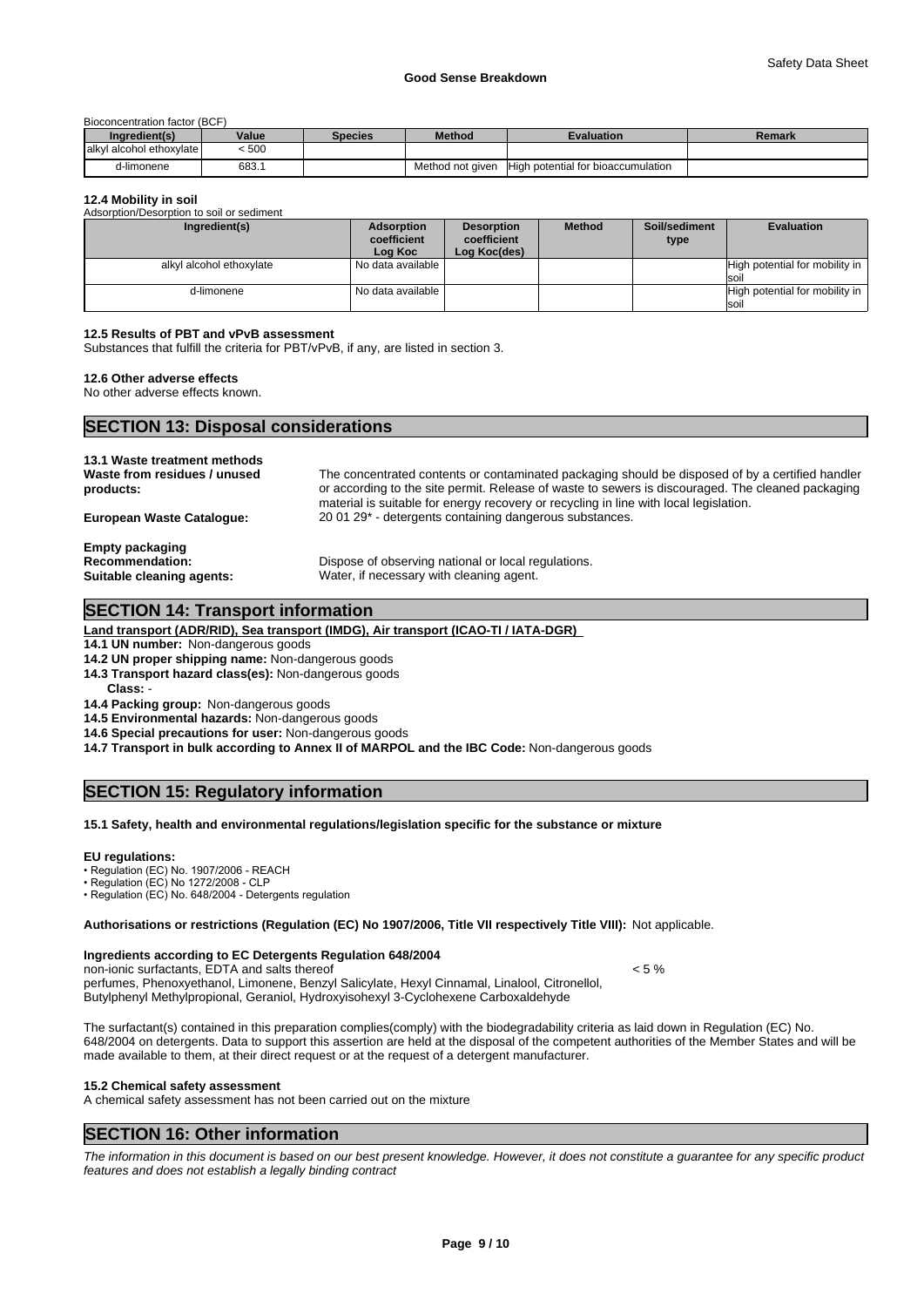Bioconcentration factor (BCF)

| Ingredient(s)             | Value | <b>Species</b> | <b>Method</b>    | Evaluation                         | Remark |
|---------------------------|-------|----------------|------------------|------------------------------------|--------|
| lalkyl alcohol ethoxylate | < 500 |                |                  |                                    |        |
| d-limonene                | 683.1 |                | Method not given | High potential for bioaccumulation |        |

#### **12.4 Mobility in soil**

| Adsorption/Desorption to soil or sediment |                                             |                                                  |               |                       |                                                 |
|-------------------------------------------|---------------------------------------------|--------------------------------------------------|---------------|-----------------------|-------------------------------------------------|
| Ingredient(s)                             | <b>Adsorption</b><br>coefficient<br>Log Koc | <b>Desorption</b><br>coefficient<br>Log Koc(des) | <b>Method</b> | Soil/sediment<br>type | <b>Evaluation</b>                               |
| alkyl alcohol ethoxylate                  | l No data available l                       |                                                  |               |                       | High potential for mobility in<br>soil          |
| d-limonene                                | l No data available l                       |                                                  |               |                       | High potential for mobility in  <br><b>Isoi</b> |

#### **12.5 Results of PBT and vPvB assessment**

Substances that fulfill the criteria for PBT/vPvB, if any, are listed in section 3.

#### **12.6 Other adverse effects**

No other adverse effects known.

## **SECTION 13: Disposal considerations**

| 13.1 Waste treatment methods<br>Waste from residues / unused<br>products: | The concentrated contents or contaminated packaging should be disposed of by a certified handler<br>or according to the site permit. Release of waste to sewers is discouraged. The cleaned packaging<br>material is suitable for energy recovery or recycling in line with local legislation. |
|---------------------------------------------------------------------------|------------------------------------------------------------------------------------------------------------------------------------------------------------------------------------------------------------------------------------------------------------------------------------------------|
| <b>European Waste Cataloque:</b>                                          | 20 01 29 <sup>*</sup> - detergents containing dangerous substances.                                                                                                                                                                                                                            |
| <b>Empty packaging</b>                                                    |                                                                                                                                                                                                                                                                                                |
| <b>Recommendation:</b>                                                    | Dispose of observing national or local regulations.                                                                                                                                                                                                                                            |
| Suitable cleaning agents:                                                 | Water, if necessary with cleaning agent.                                                                                                                                                                                                                                                       |

#### **SECTION 14: Transport information**

**Land transport (ADR/RID), Sea transport (IMDG), Air transport (ICAO-TI / IATA-DGR)** 

**14.1 UN number:** Non-dangerous goods

**14.2 UN proper shipping name:** Non-dangerous goods

**14.3 Transport hazard class(es):** Non-dangerous goods

Class:

**14.4 Packing group:** Non-dangerous goods

**14.5 Environmental hazards:** Non-dangerous goods

**14.6 Special precautions for user:** Non-dangerous goods

**14.7 Transport in bulk according to Annex II of MARPOL and the IBC Code:** Non-dangerous goods

# **SECTION 15: Regulatory information**

#### **15.1 Safety, health and environmental regulations/legislation specific for the substance or mixture**

#### **EU regulations:**

• Regulation (EC) No. 1907/2006 - REACH

• Regulation (EC) No 1272/2008 - CLP

• Regulation (EC) No. 648/2004 - Detergents regulation

**Authorisations or restrictions (Regulation (EC) No 1907/2006, Title VII respectively Title VIII):** Not applicable.

#### **Ingredients according to EC Detergents Regulation 648/2004**

non-ionic surfactants, EDTA and salts thereof example the state of  $\leq$  5 % perfumes, Phenoxyethanol, Limonene, Benzyl Salicylate, Hexyl Cinnamal, Linalool, Citronellol, Butylphenyl Methylpropional, Geraniol, Hydroxyisohexyl 3-Cyclohexene Carboxaldehyde

The surfactant(s) contained in this preparation complies(comply) with the biodegradability criteria as laid down in Regulation (EC) No. 648/2004 on detergents. Data to support this assertion are held at the disposal of the competent authorities of the Member States and will be made available to them, at their direct request or at the request of a detergent manufacturer.

## **15.2 Chemical safety assessment**

A chemical safety assessment has not been carried out on the mixture

#### **SECTION 16: Other information**

*The information in this document is based on our best present knowledge. However, it does not constitute a guarantee for any specific product features and does not establish a legally binding contract*